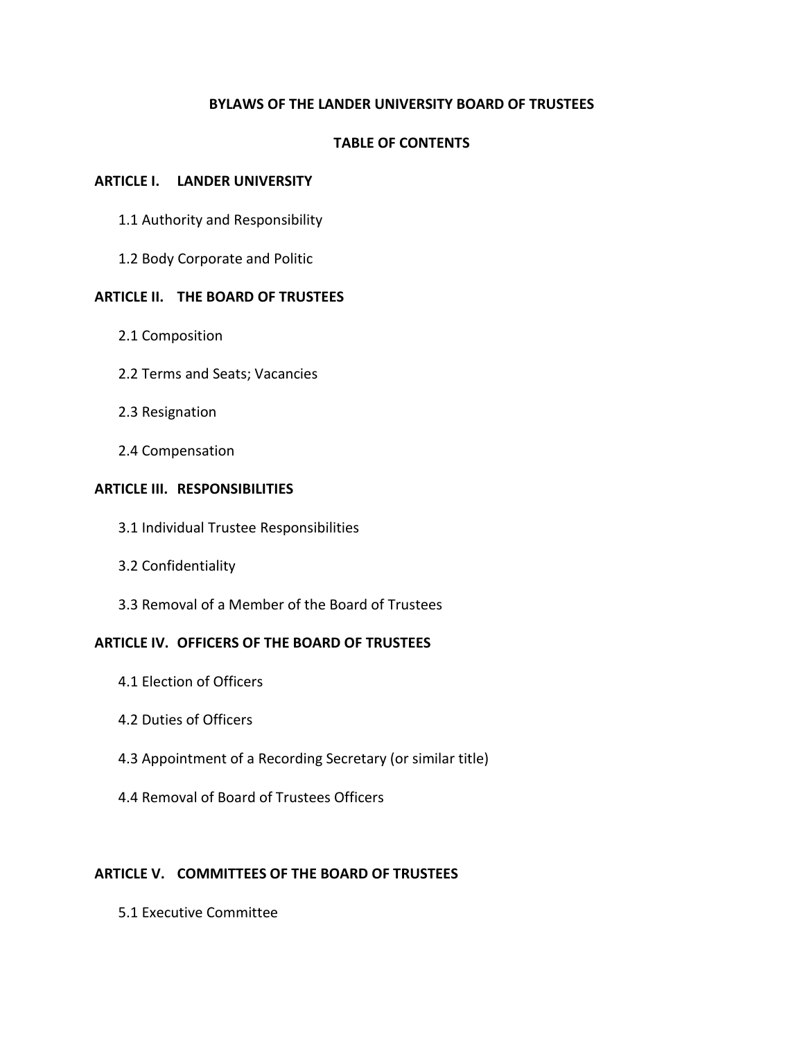### **BYLAWS OF THE LANDER UNIVERSITY BOARD OF TRUSTEES**

#### **TABLE OF CONTENTS**

#### **ARTICLE I. LANDER UNIVERSITY**

- 1.1 Authority and Responsibility
- 1.2 Body Corporate and Politic

### **ARTICLE II. THE BOARD OF TRUSTEES**

- 2.1 Composition
- 2.2 Terms and Seats; Vacancies
- 2.3 Resignation
- 2.4 Compensation

#### **ARTICLE III. RESPONSIBILITIES**

- 3.1 Individual Trustee Responsibilities
- 3.2 Confidentiality
- 3.3 Removal of a Member of the Board of Trustees

### **ARTICLE IV. OFFICERS OF THE BOARD OF TRUSTEES**

- 4.1 Election of Officers
- 4.2 Duties of Officers
- 4.3 Appointment of a Recording Secretary (or similar title)
- 4.4 Removal of Board of Trustees Officers

### **ARTICLE V. COMMITTEES OF THE BOARD OF TRUSTEES**

5.1 Executive Committee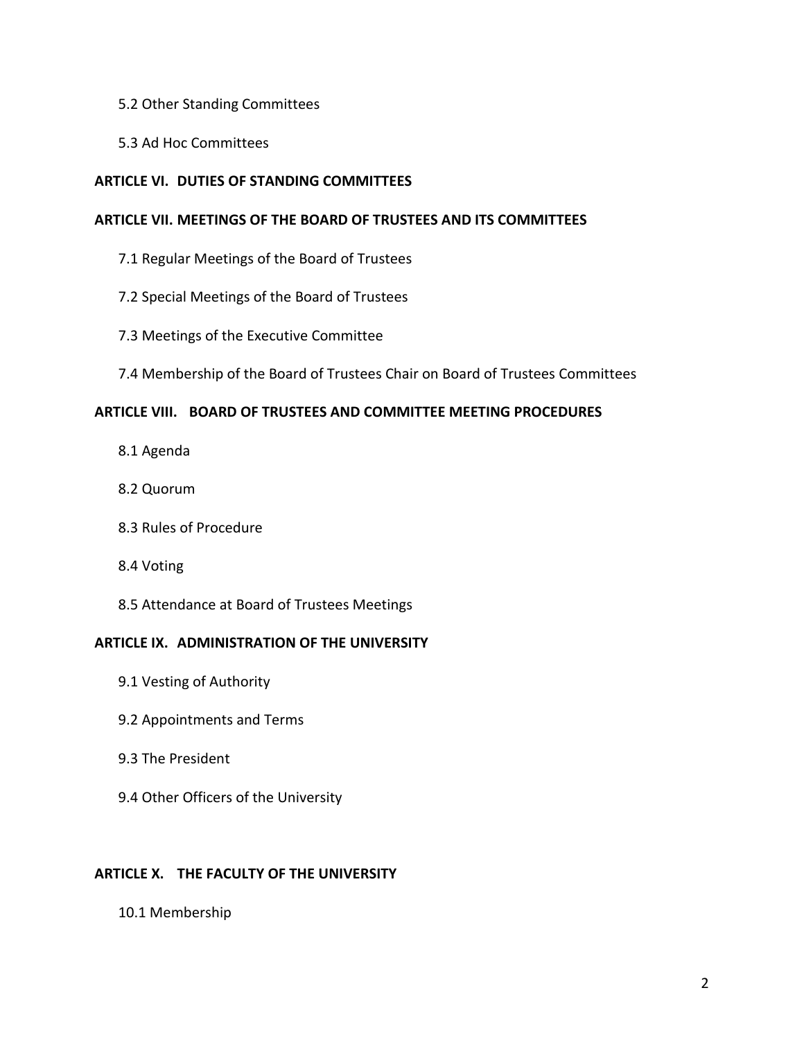- 5.2 Other Standing Committees
- 5.3 Ad Hoc Committees

## **ARTICLE VI. DUTIES OF STANDING COMMITTEES**

### **ARTICLE VII. MEETINGS OF THE BOARD OF TRUSTEES AND ITS COMMITTEES**

- 7.1 Regular Meetings of the Board of Trustees
- 7.2 Special Meetings of the Board of Trustees
- 7.3 Meetings of the Executive Committee
- 7.4 Membership of the Board of Trustees Chair on Board of Trustees Committees

## **ARTICLE VIII. BOARD OF TRUSTEES AND COMMITTEE MEETING PROCEDURES**

- 8.1 Agenda
- 8.2 Quorum
- 8.3 Rules of Procedure
- 8.4 Voting
- 8.5 Attendance at Board of Trustees Meetings

### **ARTICLE IX. ADMINISTRATION OF THE UNIVERSITY**

- 9.1 Vesting of Authority
- 9.2 Appointments and Terms
- 9.3 The President
- 9.4 Other Officers of the University

# **ARTICLE X. THE FACULTY OF THE UNIVERSITY**

10.1 Membership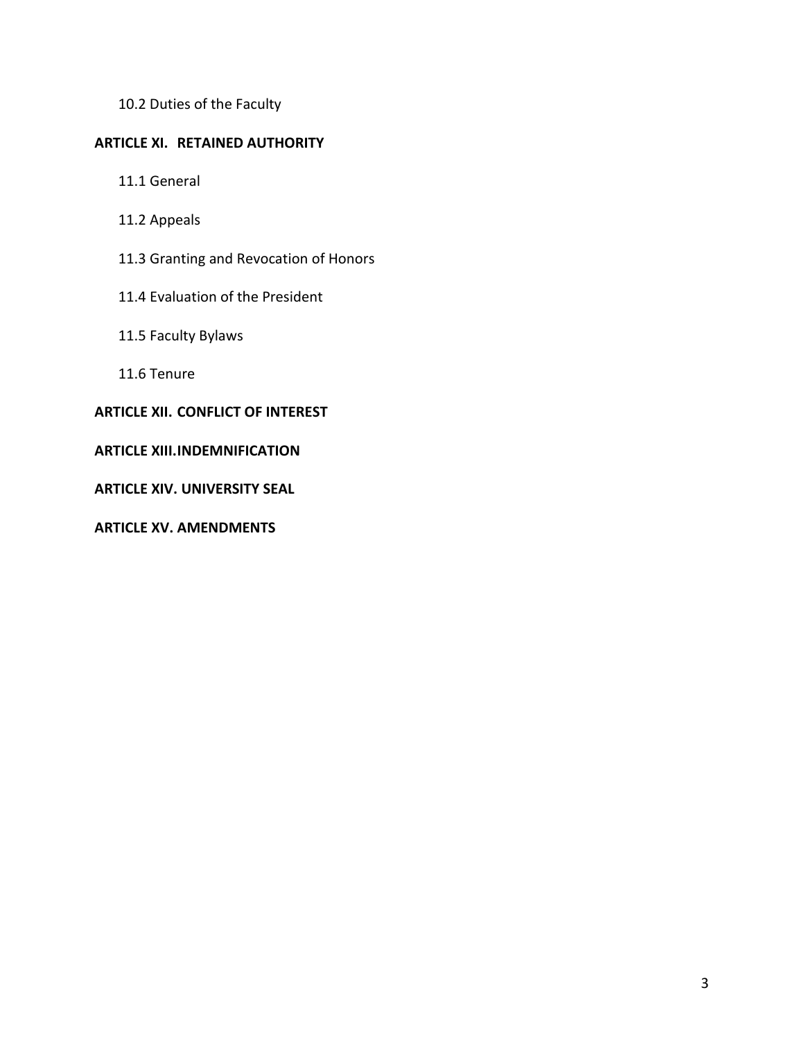10.2 Duties of the Faculty

## **ARTICLE XI. RETAINED AUTHORITY**

- 11.1 General
- 11.2 Appeals
- 11.3 Granting and Revocation of Honors
- 11.4 Evaluation of the President
- 11.5 Faculty Bylaws
- 11.6 Tenure

# **ARTICLE XII. CONFLICT OF INTEREST**

## **ARTICLE XIII.INDEMNIFICATION**

**ARTICLE XIV. UNIVERSITY SEAL**

**ARTICLE XV. AMENDMENTS**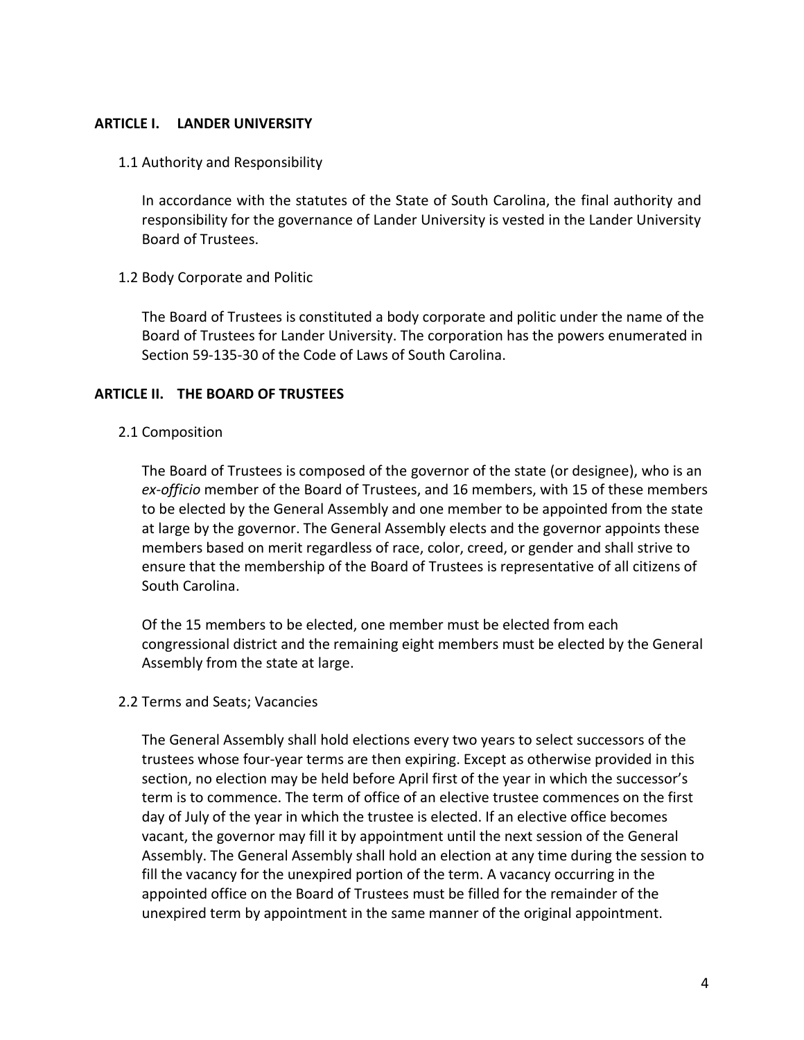#### **ARTICLE I. LANDER UNIVERSITY**

1.1 Authority and Responsibility

In accordance with the statutes of the State of South Carolina, the final authority and responsibility for the governance of Lander University is vested in the Lander University Board of Trustees.

### 1.2 Body Corporate and Politic

The Board of Trustees is constituted a body corporate and politic under the name of the Board of Trustees for Lander University. The corporation has the powers enumerated in Section 59-135-30 of the Code of Laws of South Carolina.

### **ARTICLE II. THE BOARD OF TRUSTEES**

### 2.1 Composition

The Board of Trustees is composed of the governor of the state (or designee), who is an *ex-officio* member of the Board of Trustees, and 16 members, with 15 of these members to be elected by the General Assembly and one member to be appointed from the state at large by the governor. The General Assembly elects and the governor appoints these members based on merit regardless of race, color, creed, or gender and shall strive to ensure that the membership of the Board of Trustees is representative of all citizens of South Carolina.

Of the 15 members to be elected, one member must be elected from each congressional district and the remaining eight members must be elected by the General Assembly from the state at large.

### 2.2 Terms and Seats; Vacancies

The General Assembly shall hold elections every two years to select successors of the trustees whose four-year terms are then expiring. Except as otherwise provided in this section, no election may be held before April first of the year in which the successor's term is to commence. The term of office of an elective trustee commences on the first day of July of the year in which the trustee is elected. If an elective office becomes vacant, the governor may fill it by appointment until the next session of the General Assembly. The General Assembly shall hold an election at any time during the session to fill the vacancy for the unexpired portion of the term. A vacancy occurring in the appointed office on the Board of Trustees must be filled for the remainder of the unexpired term by appointment in the same manner of the original appointment.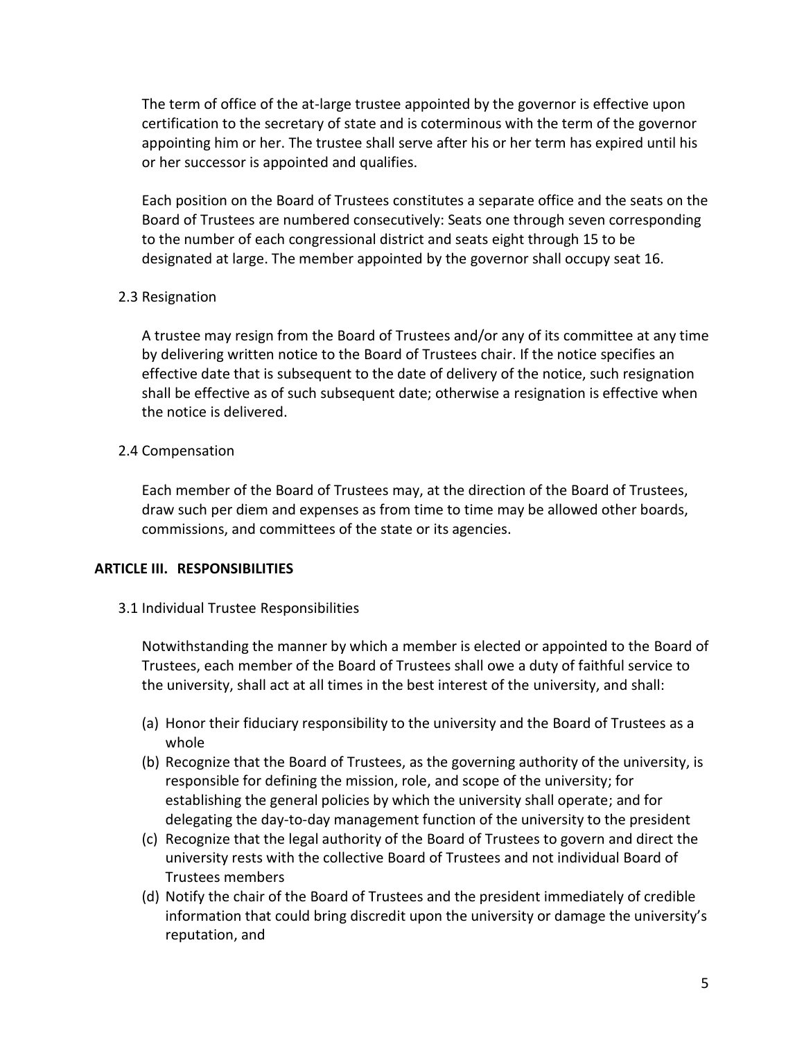The term of office of the at-large trustee appointed by the governor is effective upon certification to the secretary of state and is coterminous with the term of the governor appointing him or her. The trustee shall serve after his or her term has expired until his or her successor is appointed and qualifies.

Each position on the Board of Trustees constitutes a separate office and the seats on the Board of Trustees are numbered consecutively: Seats one through seven corresponding to the number of each congressional district and seats eight through 15 to be designated at large. The member appointed by the governor shall occupy seat 16.

## 2.3 Resignation

A trustee may resign from the Board of Trustees and/or any of its committee at any time by delivering written notice to the Board of Trustees chair. If the notice specifies an effective date that is subsequent to the date of delivery of the notice, such resignation shall be effective as of such subsequent date; otherwise a resignation is effective when the notice is delivered.

## 2.4 Compensation

Each member of the Board of Trustees may, at the direction of the Board of Trustees, draw such per diem and expenses as from time to time may be allowed other boards, commissions, and committees of the state or its agencies.

### **ARTICLE III. RESPONSIBILITIES**

### 3.1 Individual Trustee Responsibilities

Notwithstanding the manner by which a member is elected or appointed to the Board of Trustees, each member of the Board of Trustees shall owe a duty of faithful service to the university, shall act at all times in the best interest of the university, and shall:

- (a) Honor their fiduciary responsibility to the university and the Board of Trustees as a whole
- (b) Recognize that the Board of Trustees, as the governing authority of the university, is responsible for defining the mission, role, and scope of the university; for establishing the general policies by which the university shall operate; and for delegating the day-to-day management function of the university to the president
- (c) Recognize that the legal authority of the Board of Trustees to govern and direct the university rests with the collective Board of Trustees and not individual Board of Trustees members
- (d) Notify the chair of the Board of Trustees and the president immediately of credible information that could bring discredit upon the university or damage the university's reputation, and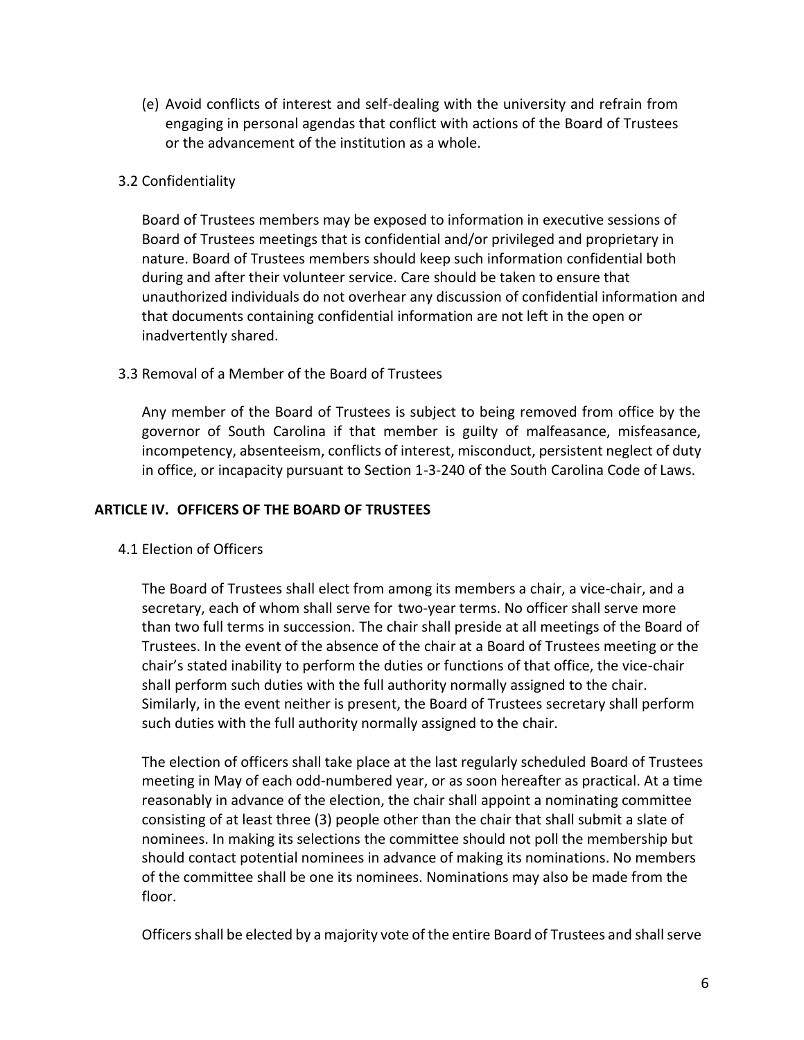(e) Avoid conflicts of interest and self-dealing with the university and refrain from engaging in personal agendas that conflict with actions of the Board of Trustees or the advancement of the institution as a whole.

# 3.2 Confidentiality

Board of Trustees members may be exposed to information in executive sessions of Board of Trustees meetings that is confidential and/or privileged and proprietary in nature. Board of Trustees members should keep such information confidential both during and after their volunteer service. Care should be taken to ensure that unauthorized individuals do not overhear any discussion of confidential information and that documents containing confidential information are not left in the open or inadvertently shared.

## 3.3 Removal of a Member of the Board of Trustees

Any member of the Board of Trustees is subject to being removed from office by the governor of South Carolina if that member is guilty of malfeasance, misfeasance, incompetency, absenteeism, conflicts of interest, misconduct, persistent neglect of duty in office, or incapacity pursuant to Section 1-3-240 of the South Carolina Code of Laws.

### **ARTICLE IV. OFFICERS OF THE BOARD OF TRUSTEES**

# 4.1 Election of Officers

The Board of Trustees shall elect from among its members a chair, a vice-chair, and a secretary, each of whom shall serve for two-year terms. No officer shall serve more than two full terms in succession. The chair shall preside at all meetings of the Board of Trustees. In the event of the absence of the chair at a Board of Trustees meeting or the chair's stated inability to perform the duties or functions of that office, the vice-chair shall perform such duties with the full authority normally assigned to the chair. Similarly, in the event neither is present, the Board of Trustees secretary shall perform such duties with the full authority normally assigned to the chair.

The election of officers shall take place at the last regularly scheduled Board of Trustees meeting in May of each odd-numbered year, or as soon hereafter as practical. At a time reasonably in advance of the election, the chair shall appoint a nominating committee consisting of at least three (3) people other than the chair that shall submit a slate of nominees. In making its selections the committee should not poll the membership but should contact potential nominees in advance of making its nominations. No members of the committee shall be one its nominees. Nominations may also be made from the floor.

Officers shall be elected by a majority vote of the entire Board of Trustees and shall serve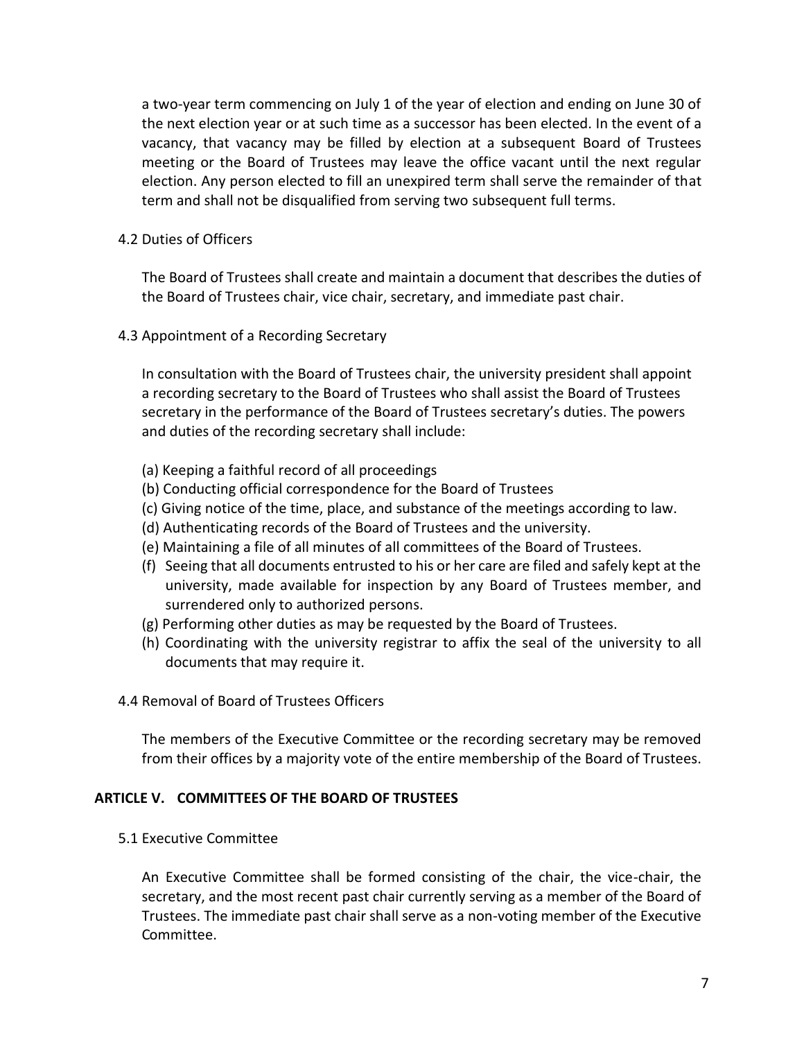a two-year term commencing on July 1 of the year of election and ending on June 30 of the next election year or at such time as a successor has been elected. In the event of a vacancy, that vacancy may be filled by election at a subsequent Board of Trustees meeting or the Board of Trustees may leave the office vacant until the next regular election. Any person elected to fill an unexpired term shall serve the remainder of that term and shall not be disqualified from serving two subsequent full terms.

4.2 Duties of Officers

The Board of Trustees shall create and maintain a document that describes the duties of the Board of Trustees chair, vice chair, secretary, and immediate past chair.

4.3 Appointment of a Recording Secretary

In consultation with the Board of Trustees chair, the university president shall appoint a recording secretary to the Board of Trustees who shall assist the Board of Trustees secretary in the performance of the Board of Trustees secretary's duties. The powers and duties of the recording secretary shall include:

- (a) Keeping a faithful record of all proceedings
- (b) Conducting official correspondence for the Board of Trustees
- (c) Giving notice of the time, place, and substance of the meetings according to law.
- (d) Authenticating records of the Board of Trustees and the university.
- (e) Maintaining a file of all minutes of all committees of the Board of Trustees.
- (f) Seeing that all documents entrusted to his or her care are filed and safely kept at the university, made available for inspection by any Board of Trustees member, and surrendered only to authorized persons.
- (g) Performing other duties as may be requested by the Board of Trustees.
- (h) Coordinating with the university registrar to affix the seal of the university to all documents that may require it.
- 4.4 Removal of Board of Trustees Officers

The members of the Executive Committee or the recording secretary may be removed from their offices by a majority vote of the entire membership of the Board of Trustees.

#### **ARTICLE V. COMMITTEES OF THE BOARD OF TRUSTEES**

5.1 Executive Committee

An Executive Committee shall be formed consisting of the chair, the vice-chair, the secretary, and the most recent past chair currently serving as a member of the Board of Trustees. The immediate past chair shall serve as a non-voting member of the Executive Committee.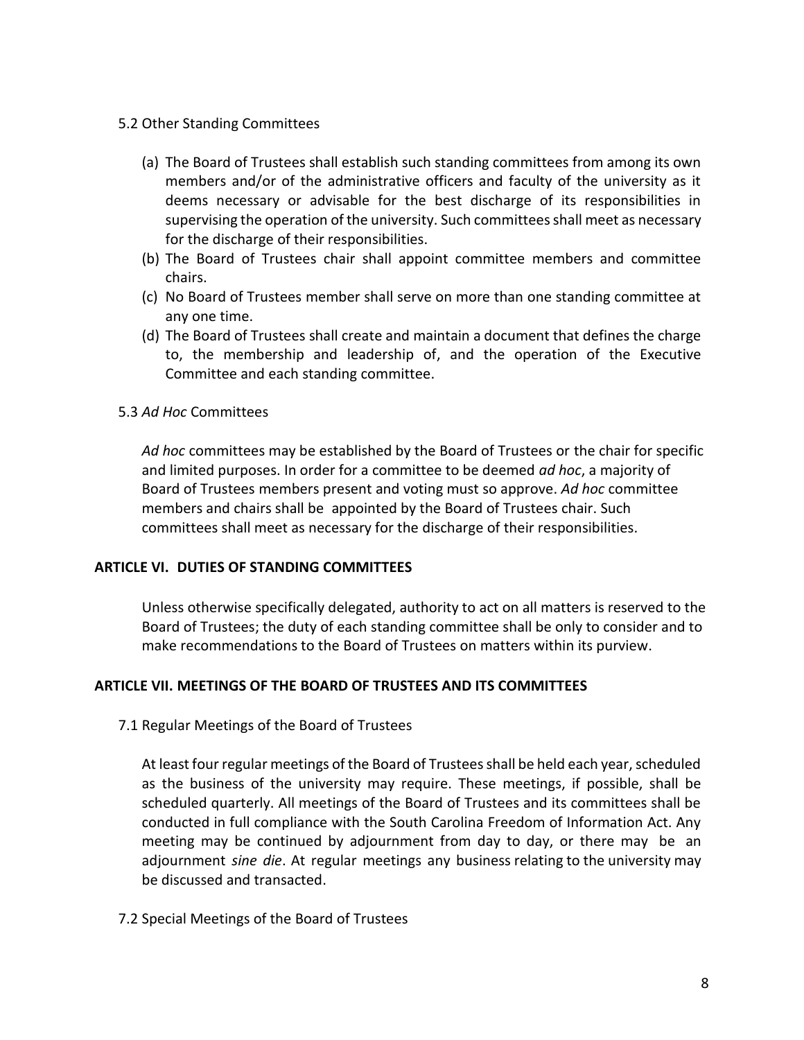- 5.2 Other Standing Committees
	- (a) The Board of Trustees shall establish such standing committees from among its own members and/or of the administrative officers and faculty of the university as it deems necessary or advisable for the best discharge of its responsibilities in supervising the operation of the university. Such committees shall meet as necessary for the discharge of their responsibilities.
	- (b) The Board of Trustees chair shall appoint committee members and committee chairs.
	- (c) No Board of Trustees member shall serve on more than one standing committee at any one time.
	- (d) The Board of Trustees shall create and maintain a document that defines the charge to, the membership and leadership of, and the operation of the Executive Committee and each standing committee.
- 5.3 *Ad Hoc* Committees

*Ad hoc* committees may be established by the Board of Trustees or the chair for specific and limited purposes. In order for a committee to be deemed *ad hoc*, a majority of Board of Trustees members present and voting must so approve. *Ad hoc* committee members and chairs shall be appointed by the Board of Trustees chair. Such committees shall meet as necessary for the discharge of their responsibilities.

### **ARTICLE VI. DUTIES OF STANDING COMMITTEES**

Unless otherwise specifically delegated, authority to act on all matters is reserved to the Board of Trustees; the duty of each standing committee shall be only to consider and to make recommendations to the Board of Trustees on matters within its purview.

### **ARTICLE VII. MEETINGS OF THE BOARD OF TRUSTEES AND ITS COMMITTEES**

7.1 Regular Meetings of the Board of Trustees

At least four regular meetings of the Board of Trustees shall be held each year, scheduled as the business of the university may require. These meetings, if possible, shall be scheduled quarterly. All meetings of the Board of Trustees and its committees shall be conducted in full compliance with the South Carolina Freedom of Information Act. Any meeting may be continued by adjournment from day to day, or there may be an adjournment *sine die*. At regular meetings any business relating to the university may be discussed and transacted.

7.2 Special Meetings of the Board of Trustees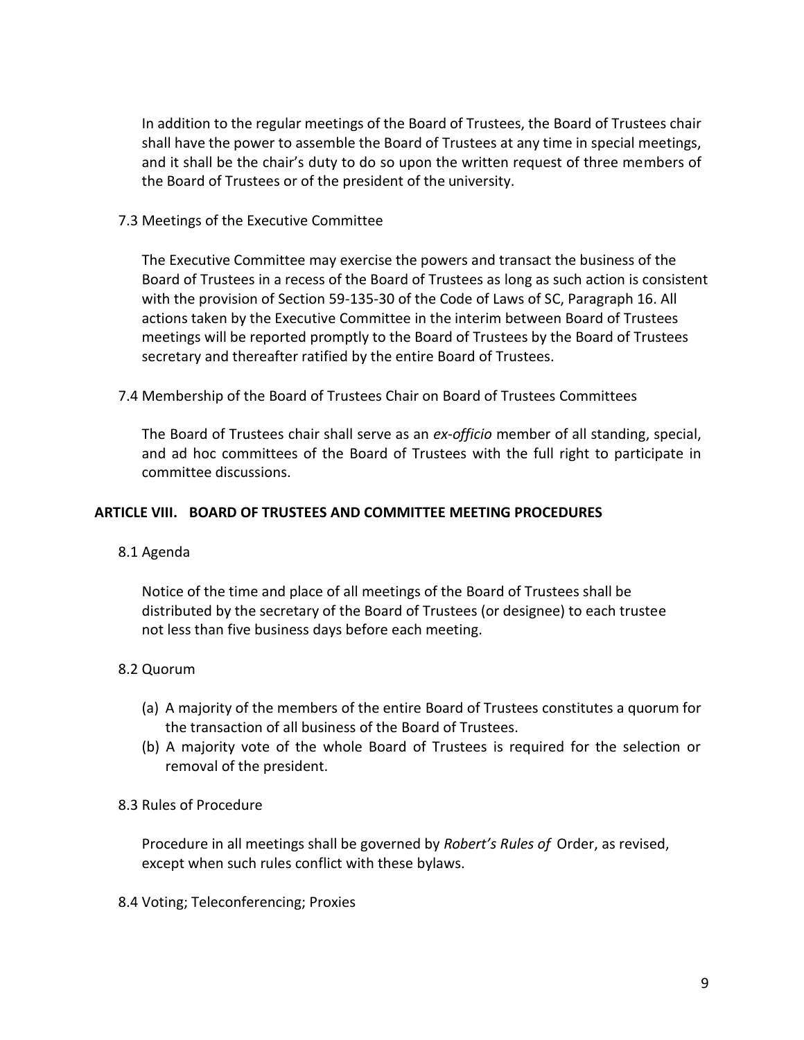In addition to the regular meetings of the Board of Trustees, the Board of Trustees chair shall have the power to assemble the Board of Trustees at any time in special meetings, and it shall be the chair's duty to do so upon the written request of three members of the Board of Trustees or of the president of the university.

### 7.3 Meetings of the Executive Committee

The Executive Committee may exercise the powers and transact the business of the Board of Trustees in a recess of the Board of Trustees as long as such action is consistent with the provision of Section 59-135-30 of the Code of Laws of SC, Paragraph 16. All actions taken by the Executive Committee in the interim between Board of Trustees meetings will be reported promptly to the Board of Trustees by the Board of Trustees secretary and thereafter ratified by the entire Board of Trustees.

7.4 Membership of the Board of Trustees Chair on Board of Trustees Committees

The Board of Trustees chair shall serve as an *ex-officio* member of all standing, special, and ad hoc committees of the Board of Trustees with the full right to participate in committee discussions.

### **ARTICLE VIII. BOARD OF TRUSTEES AND COMMITTEE MEETING PROCEDURES**

### 8.1 Agenda

Notice of the time and place of all meetings of the Board of Trustees shall be distributed by the secretary of the Board of Trustees (or designee) to each trustee not less than five business days before each meeting.

# 8.2 Quorum

- (a) A majority of the members of the entire Board of Trustees constitutes a quorum for the transaction of all business of the Board of Trustees.
- (b) A majority vote of the whole Board of Trustees is required for the selection or removal of the president.

### 8.3 Rules of Procedure

Procedure in all meetings shall be governed by *Robert's Rules of* Order, as revised, except when such rules conflict with these bylaws.

8.4 Voting; Teleconferencing; Proxies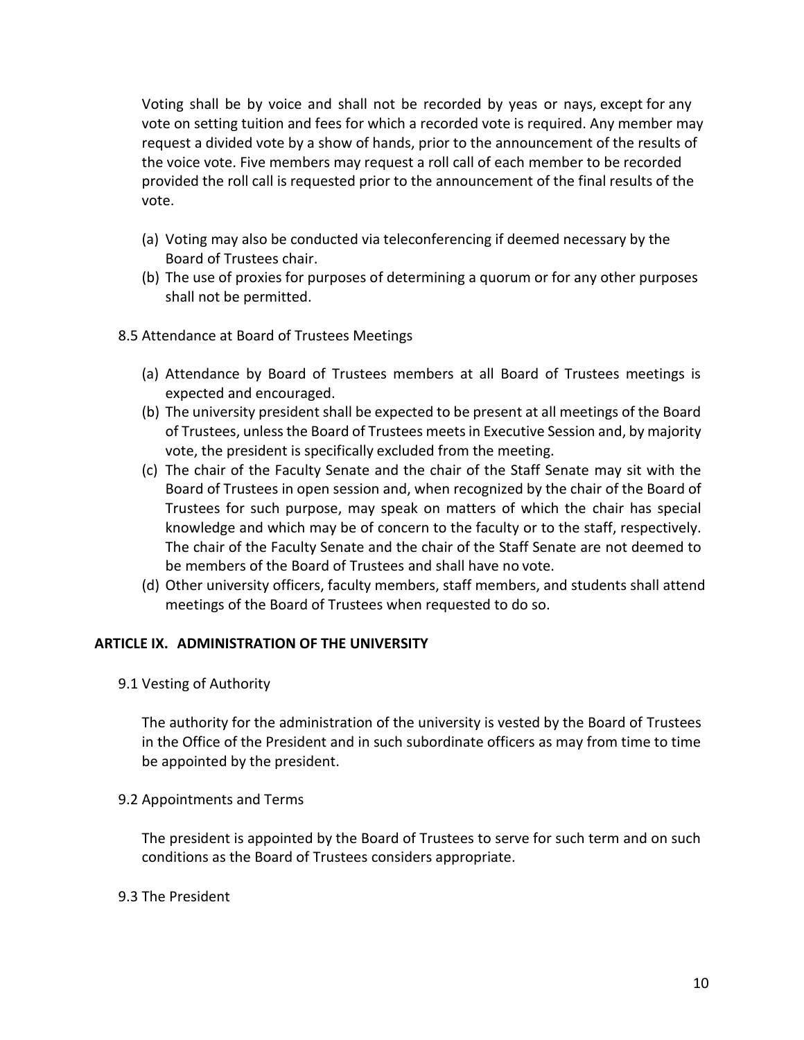Voting shall be by voice and shall not be recorded by yeas or nays, except for any vote on setting tuition and fees for which a recorded vote is required. Any member may request a divided vote by a show of hands, prior to the announcement of the results of the voice vote. Five members may request a roll call of each member to be recorded provided the roll call is requested prior to the announcement of the final results of the vote.

- (a) Voting may also be conducted via teleconferencing if deemed necessary by the Board of Trustees chair.
- (b) The use of proxies for purposes of determining a quorum or for any other purposes shall not be permitted.
- 8.5 Attendance at Board of Trustees Meetings
	- (a) Attendance by Board of Trustees members at all Board of Trustees meetings is expected and encouraged.
	- (b) The university president shall be expected to be present at all meetings of the Board of Trustees, unless the Board of Trustees meets in Executive Session and, by majority vote, the president is specifically excluded from the meeting.
	- (c) The chair of the Faculty Senate and the chair of the Staff Senate may sit with the Board of Trustees in open session and, when recognized by the chair of the Board of Trustees for such purpose, may speak on matters of which the chair has special knowledge and which may be of concern to the faculty or to the staff, respectively. The chair of the Faculty Senate and the chair of the Staff Senate are not deemed to be members of the Board of Trustees and shall have no vote.
	- (d) Other university officers, faculty members, staff members, and students shall attend meetings of the Board of Trustees when requested to do so.

# **ARTICLE IX. ADMINISTRATION OF THE UNIVERSITY**

9.1 Vesting of Authority

The authority for the administration of the university is vested by the Board of Trustees in the Office of the President and in such subordinate officers as may from time to time be appointed by the president.

9.2 Appointments and Terms

The president is appointed by the Board of Trustees to serve for such term and on such conditions as the Board of Trustees considers appropriate.

# 9.3 The President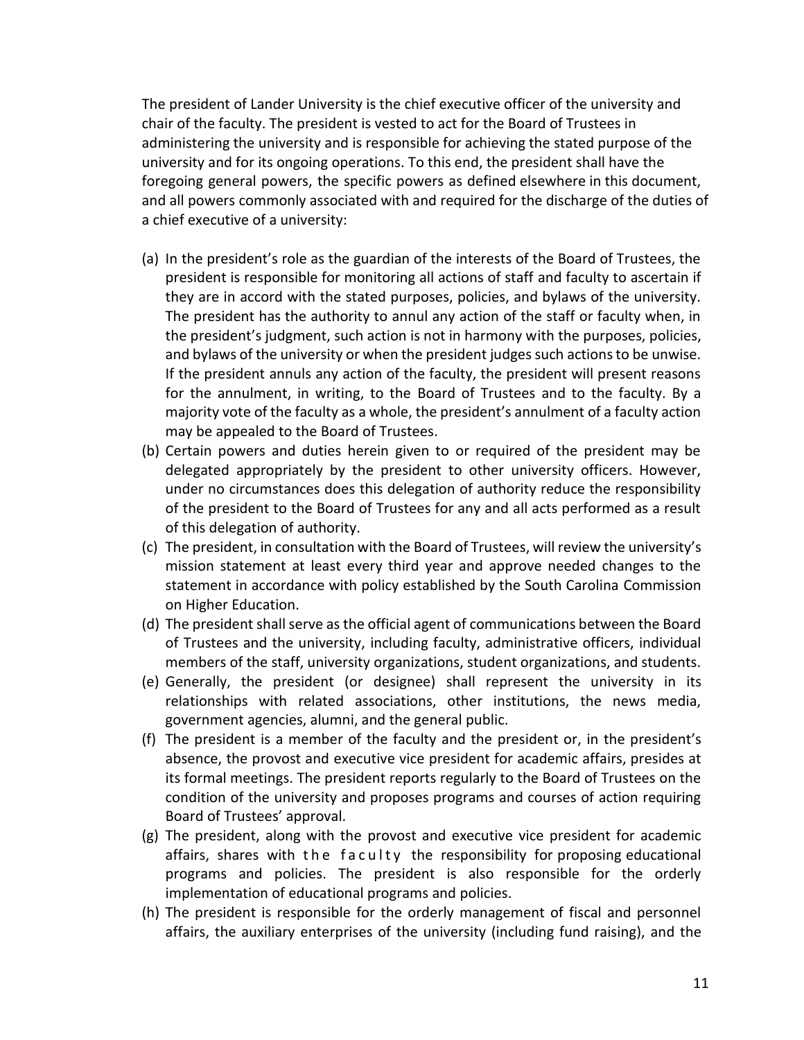The president of Lander University is the chief executive officer of the university and chair of the faculty. The president is vested to act for the Board of Trustees in administering the university and is responsible for achieving the stated purpose of the university and for its ongoing operations. To this end, the president shall have the foregoing general powers, the specific powers as defined elsewhere in this document, and all powers commonly associated with and required for the discharge of the duties of a chief executive of a university:

- (a) In the president's role as the guardian of the interests of the Board of Trustees, the president is responsible for monitoring all actions of staff and faculty to ascertain if they are in accord with the stated purposes, policies, and bylaws of the university. The president has the authority to annul any action of the staff or faculty when, in the president's judgment, such action is not in harmony with the purposes, policies, and bylaws of the university or when the president judges such actions to be unwise. If the president annuls any action of the faculty, the president will present reasons for the annulment, in writing, to the Board of Trustees and to the faculty. By a majority vote of the faculty as a whole, the president's annulment of a faculty action may be appealed to the Board of Trustees.
- (b) Certain powers and duties herein given to or required of the president may be delegated appropriately by the president to other university officers. However, under no circumstances does this delegation of authority reduce the responsibility of the president to the Board of Trustees for any and all acts performed as a result of this delegation of authority.
- (c) The president, in consultation with the Board of Trustees, will review the university's mission statement at least every third year and approve needed changes to the statement in accordance with policy established by the South Carolina Commission on Higher Education.
- (d) The president shall serve as the official agent of communications between the Board of Trustees and the university, including faculty, administrative officers, individual members of the staff, university organizations, student organizations, and students.
- (e) Generally, the president (or designee) shall represent the university in its relationships with related associations, other institutions, the news media, government agencies, alumni, and the general public.
- (f) The president is a member of the faculty and the president or, in the president's absence, the provost and executive vice president for academic affairs, presides at its formal meetings. The president reports regularly to the Board of Trustees on the condition of the university and proposes programs and courses of action requiring Board of Trustees' approval.
- (g) The president, along with the provost and executive vice president for academic affairs, shares with the faculty the responsibility for proposing educational programs and policies. The president is also responsible for the orderly implementation of educational programs and policies.
- (h) The president is responsible for the orderly management of fiscal and personnel affairs, the auxiliary enterprises of the university (including fund raising), and the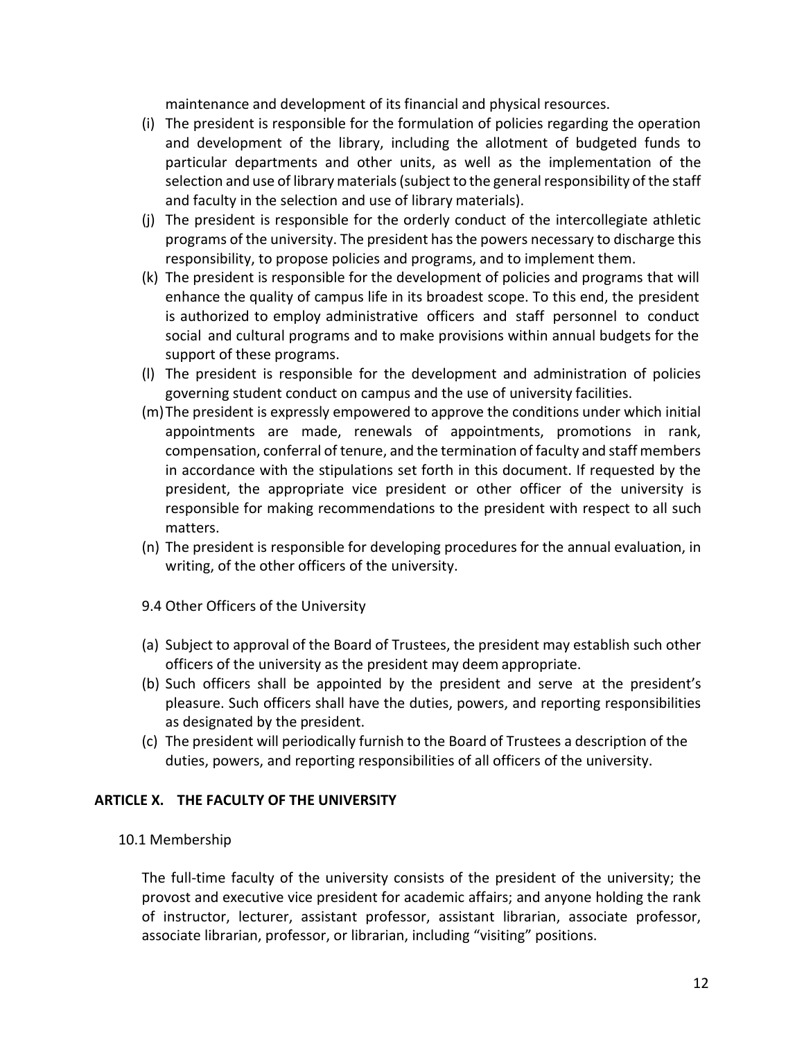maintenance and development of its financial and physical resources.

- (i) The president is responsible for the formulation of policies regarding the operation and development of the library, including the allotment of budgeted funds to particular departments and other units, as well as the implementation of the selection and use of library materials (subject to the general responsibility of the staff and faculty in the selection and use of library materials).
- (j) The president is responsible for the orderly conduct of the intercollegiate athletic programs of the university. The president has the powers necessary to discharge this responsibility, to propose policies and programs, and to implement them.
- (k) The president is responsible for the development of policies and programs that will enhance the quality of campus life in its broadest scope. To this end, the president is authorized to employ administrative officers and staff personnel to conduct social and cultural programs and to make provisions within annual budgets for the support of these programs.
- (l) The president is responsible for the development and administration of policies governing student conduct on campus and the use of university facilities.
- (m)The president is expressly empowered to approve the conditions under which initial appointments are made, renewals of appointments, promotions in rank, compensation, conferral of tenure, and the termination of faculty and staff members in accordance with the stipulations set forth in this document. If requested by the president, the appropriate vice president or other officer of the university is responsible for making recommendations to the president with respect to all such matters.
- (n) The president is responsible for developing procedures for the annual evaluation, in writing, of the other officers of the university.
- 9.4 Other Officers of the University
- (a) Subject to approval of the Board of Trustees, the president may establish such other officers of the university as the president may deem appropriate.
- (b) Such officers shall be appointed by the president and serve at the president's pleasure. Such officers shall have the duties, powers, and reporting responsibilities as designated by the president.
- (c) The president will periodically furnish to the Board of Trustees a description of the duties, powers, and reporting responsibilities of all officers of the university.

### **ARTICLE X. THE FACULTY OF THE UNIVERSITY**

### 10.1 Membership

The full-time faculty of the university consists of the president of the university; the provost and executive vice president for academic affairs; and anyone holding the rank of instructor, lecturer, assistant professor, assistant librarian, associate professor, associate librarian, professor, or librarian, including "visiting" positions.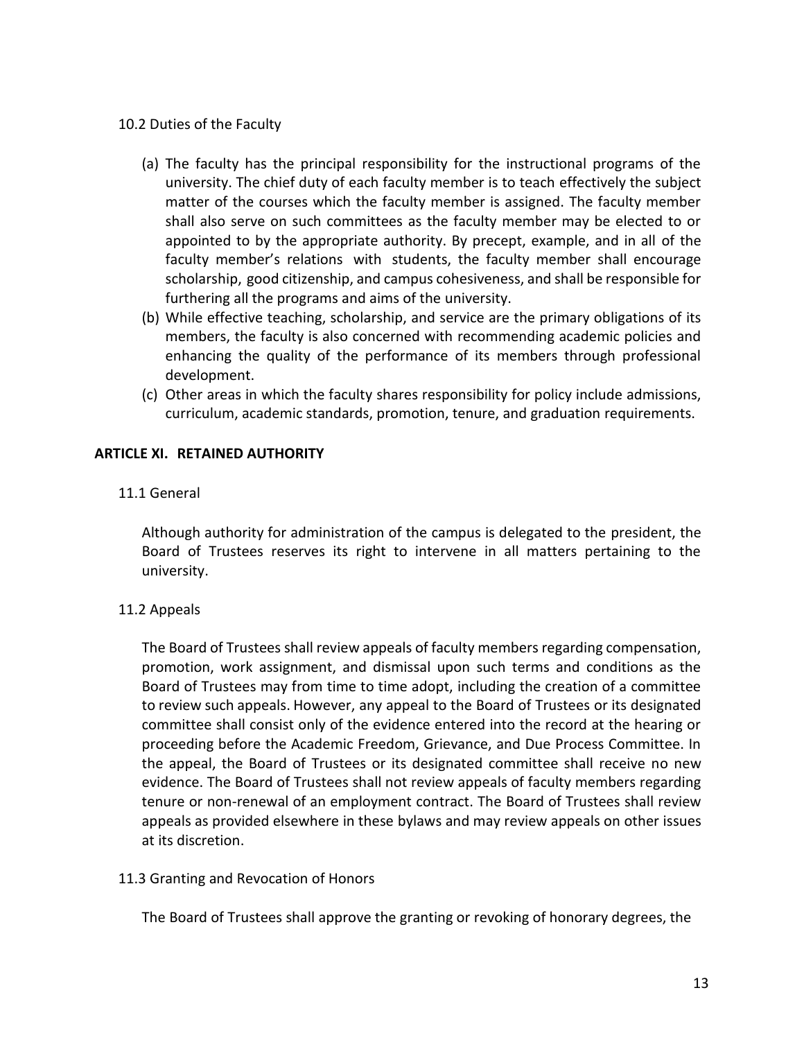### 10.2 Duties of the Faculty

- (a) The faculty has the principal responsibility for the instructional programs of the university. The chief duty of each faculty member is to teach effectively the subject matter of the courses which the faculty member is assigned. The faculty member shall also serve on such committees as the faculty member may be elected to or appointed to by the appropriate authority. By precept, example, and in all of the faculty member's relations with students, the faculty member shall encourage scholarship, good citizenship, and campus cohesiveness, and shall be responsible for furthering all the programs and aims of the university.
- (b) While effective teaching, scholarship, and service are the primary obligations of its members, the faculty is also concerned with recommending academic policies and enhancing the quality of the performance of its members through professional development.
- (c) Other areas in which the faculty shares responsibility for policy include admissions, curriculum, academic standards, promotion, tenure, and graduation requirements.

## **ARTICLE XI. RETAINED AUTHORITY**

11.1 General

Although authority for administration of the campus is delegated to the president, the Board of Trustees reserves its right to intervene in all matters pertaining to the university.

# 11.2 Appeals

The Board of Trustees shall review appeals of faculty members regarding compensation, promotion, work assignment, and dismissal upon such terms and conditions as the Board of Trustees may from time to time adopt, including the creation of a committee to review such appeals. However, any appeal to the Board of Trustees or its designated committee shall consist only of the evidence entered into the record at the hearing or proceeding before the Academic Freedom, Grievance, and Due Process Committee. In the appeal, the Board of Trustees or its designated committee shall receive no new evidence. The Board of Trustees shall not review appeals of faculty members regarding tenure or non-renewal of an employment contract. The Board of Trustees shall review appeals as provided elsewhere in these bylaws and may review appeals on other issues at its discretion.

### 11.3 Granting and Revocation of Honors

The Board of Trustees shall approve the granting or revoking of honorary degrees, the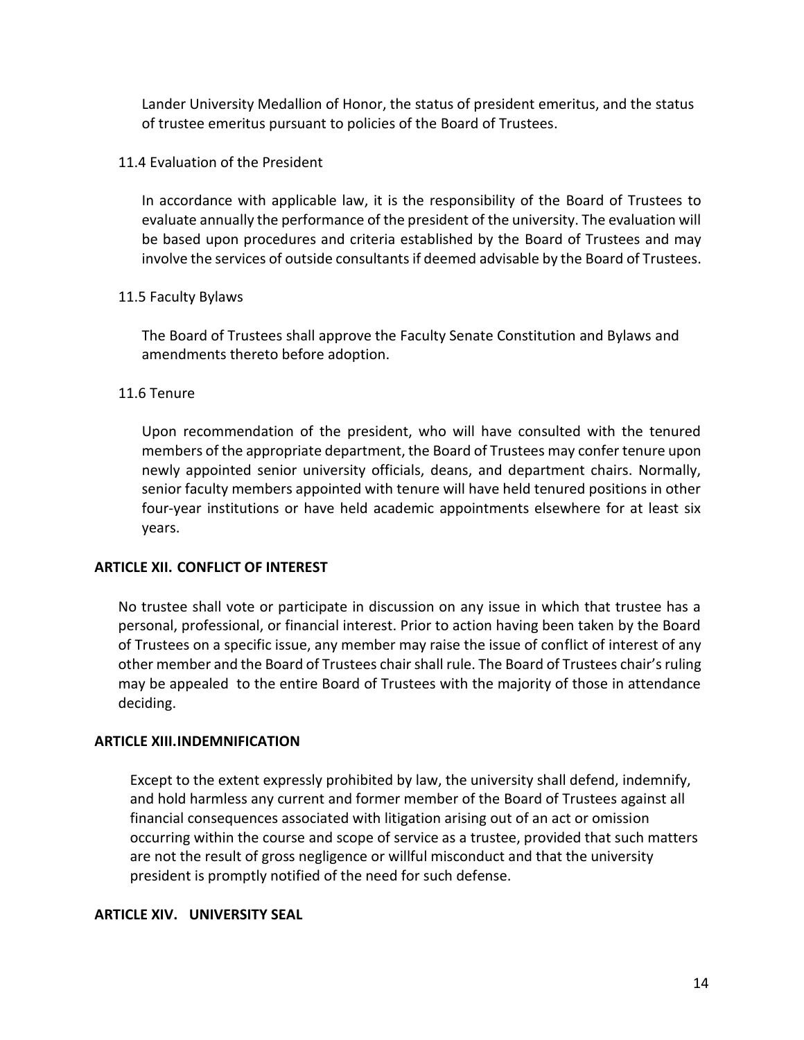Lander University Medallion of Honor, the status of president emeritus, and the status of trustee emeritus pursuant to policies of the Board of Trustees.

### 11.4 Evaluation of the President

In accordance with applicable law, it is the responsibility of the Board of Trustees to evaluate annually the performance of the president of the university. The evaluation will be based upon procedures and criteria established by the Board of Trustees and may involve the services of outside consultants if deemed advisable by the Board of Trustees.

### 11.5 Faculty Bylaws

The Board of Trustees shall approve the Faculty Senate Constitution and Bylaws and amendments thereto before adoption.

## 11.6 Tenure

Upon recommendation of the president, who will have consulted with the tenured members of the appropriate department, the Board of Trustees may confer tenure upon newly appointed senior university officials, deans, and department chairs. Normally, senior faculty members appointed with tenure will have held tenured positions in other four-year institutions or have held academic appointments elsewhere for at least six years.

### **ARTICLE XII. CONFLICT OF INTEREST**

No trustee shall vote or participate in discussion on any issue in which that trustee has a personal, professional, or financial interest. Prior to action having been taken by the Board of Trustees on a specific issue, any member may raise the issue of conflict of interest of any other member and the Board of Trustees chair shall rule. The Board of Trustees chair's ruling may be appealed to the entire Board of Trustees with the majority of those in attendance deciding.

### **ARTICLE XIII.INDEMNIFICATION**

Except to the extent expressly prohibited by law, the university shall defend, indemnify, and hold harmless any current and former member of the Board of Trustees against all financial consequences associated with litigation arising out of an act or omission occurring within the course and scope of service as a trustee, provided that such matters are not the result of gross negligence or willful misconduct and that the university president is promptly notified of the need for such defense.

### **ARTICLE XIV. UNIVERSITY SEAL**